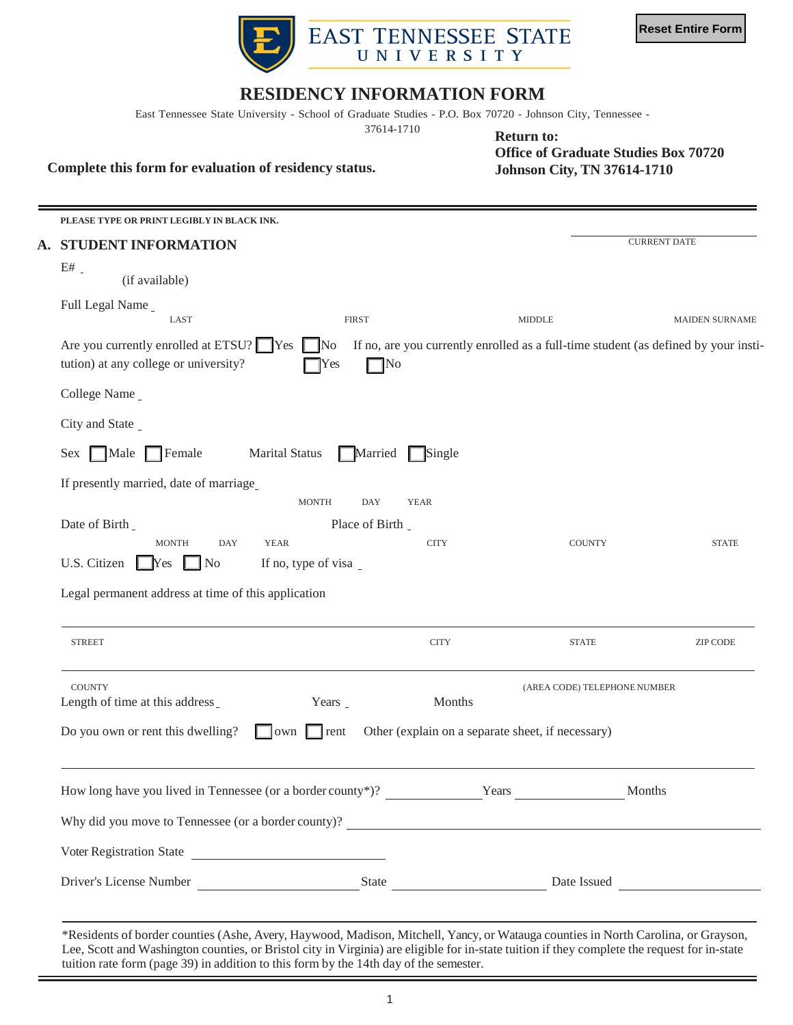

## **RESIDENCY INFORMATION FORM**

East Tennessee State University - School of Graduate Studies - P.O. Box 70720 - Johnson City, Tennessee -

37614-1710

**Complete this form for evaluation of residency status.** 

 **Office of Graduate Studies Box 70720 Johnson City, TN 37614-1710 Return to:** 

| PLEASE TYPE OR PRINT LEGIBLY IN BLACK INK.                                       |                                            |                                                   |                                                                                     |  |  |
|----------------------------------------------------------------------------------|--------------------------------------------|---------------------------------------------------|-------------------------------------------------------------------------------------|--|--|
| A. STUDENT INFORMATION                                                           |                                            |                                                   | <b>CURRENT DATE</b>                                                                 |  |  |
| E#<br>(if available)                                                             |                                            |                                                   |                                                                                     |  |  |
| Full Legal Name                                                                  |                                            |                                                   |                                                                                     |  |  |
| LAST                                                                             | <b>FIRST</b>                               | <b>MIDDLE</b>                                     | <b>MAIDEN SURNAME</b>                                                               |  |  |
| Are you currently enrolled at ETSU? Yes<br>tution) at any college or university? | $\mathbb{N}^{\circ}$<br>$\neg$ No<br>Yes   |                                                   | If no, are you currently enrolled as a full-time student (as defined by your insti- |  |  |
| College Name                                                                     |                                            |                                                   |                                                                                     |  |  |
| City and State _                                                                 |                                            |                                                   |                                                                                     |  |  |
| $\Box$ Female<br>Male<br>Sex                                                     | <b>Marital Status</b><br>Single<br>Married |                                                   |                                                                                     |  |  |
| If presently married, date of marriage                                           |                                            |                                                   |                                                                                     |  |  |
|                                                                                  | <b>MONTH</b><br>DAY<br><b>YEAR</b>         |                                                   |                                                                                     |  |  |
| Date of Birth _                                                                  | Place of Birth _                           |                                                   |                                                                                     |  |  |
| <b>MONTH</b><br><b>DAY</b>                                                       | <b>YEAR</b><br><b>CITY</b>                 |                                                   | <b>COUNTY</b><br><b>STATE</b>                                                       |  |  |
| U.S. Citizen<br>N <sub>o</sub><br>$\mathbf{\Gamma}$ res                          | If no, type of visa                        |                                                   |                                                                                     |  |  |
| Legal permanent address at time of this application                              |                                            |                                                   |                                                                                     |  |  |
|                                                                                  |                                            |                                                   |                                                                                     |  |  |
| <b>STREET</b>                                                                    |                                            | <b>CITY</b>                                       | <b>STATE</b><br><b>ZIP CODE</b>                                                     |  |  |
| <b>COUNTY</b>                                                                    |                                            |                                                   | (AREA CODE) TELEPHONE NUMBER                                                        |  |  |
| Length of time at this address                                                   | Years _                                    | Months                                            |                                                                                     |  |  |
| Do you own or rent this dwelling?                                                | lown<br>$\vert$ rent                       | Other (explain on a separate sheet, if necessary) |                                                                                     |  |  |
|                                                                                  |                                            |                                                   |                                                                                     |  |  |
| How long have you lived in Tennessee (or a border county*)?                      |                                            | Years                                             | Months                                                                              |  |  |
| Why did you move to Tennessee (or a border county)?                              |                                            |                                                   |                                                                                     |  |  |
|                                                                                  |                                            |                                                   |                                                                                     |  |  |
| Voter Registration State                                                         |                                            |                                                   |                                                                                     |  |  |
|                                                                                  |                                            |                                                   |                                                                                     |  |  |